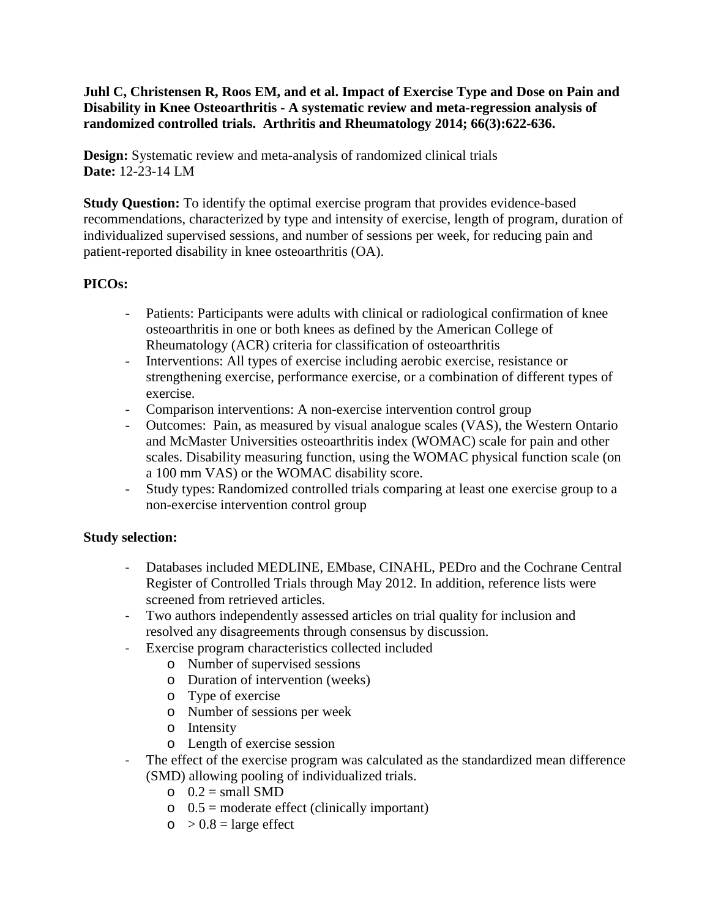## **Juhl C, Christensen R, Roos EM, and et al. Impact of Exercise Type and Dose on Pain and Disability in Knee Osteoarthritis - A systematic review and meta-regression analysis of randomized controlled trials. Arthritis and Rheumatology 2014; 66(3):622-636.**

**Design:** Systematic review and meta-analysis of randomized clinical trials **Date:** 12-23-14 LM

**Study Question:** To identify the optimal exercise program that provides evidence-based recommendations, characterized by type and intensity of exercise, length of program, duration of individualized supervised sessions, and number of sessions per week, for reducing pain and patient-reported disability in knee osteoarthritis (OA).

# **PICOs:**

- Patients: Participants were adults with clinical or radiological confirmation of knee osteoarthritis in one or both knees as defined by the American College of Rheumatology (ACR) criteria for classification of osteoarthritis
- Interventions: All types of exercise including aerobic exercise, resistance or strengthening exercise, performance exercise, or a combination of different types of exercise.
- Comparison interventions: A non-exercise intervention control group
- Outcomes: Pain, as measured by visual analogue scales (VAS), the Western Ontario and McMaster Universities osteoarthritis index (WOMAC) scale for pain and other scales. Disability measuring function, using the WOMAC physical function scale (on a 100 mm VAS) or the WOMAC disability score.
- Study types: Randomized controlled trials comparing at least one exercise group to a non-exercise intervention control group

## **Study selection:**

- Databases included MEDLINE, EMbase, CINAHL, PEDro and the Cochrane Central Register of Controlled Trials through May 2012. In addition, reference lists were screened from retrieved articles.
- Two authors independently assessed articles on trial quality for inclusion and resolved any disagreements through consensus by discussion.
- Exercise program characteristics collected included
	- o Number of supervised sessions
	- o Duration of intervention (weeks)
	- o Type of exercise
	- o Number of sessions per week
	- o Intensity
	- o Length of exercise session
- The effect of the exercise program was calculated as the standardized mean difference (SMD) allowing pooling of individualized trials.
	- $O$   $0.2$  = small SMD
	- $\circ$  0.5 = moderate effect (clinically important)
	- $\circ$  > 0.8 = large effect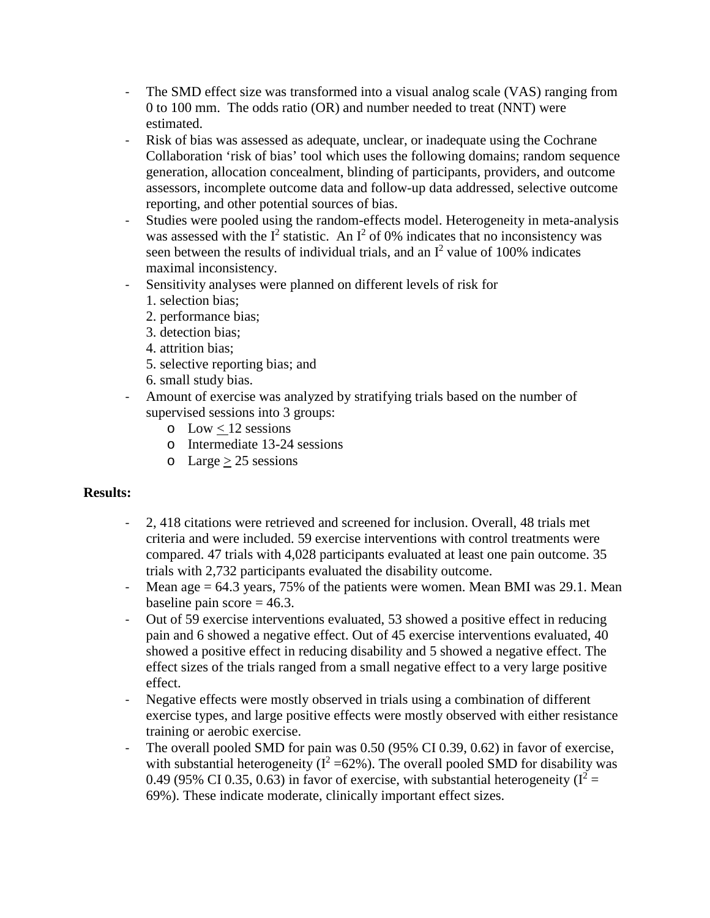- The SMD effect size was transformed into a visual analog scale (VAS) ranging from 0 to 100 mm. The odds ratio (OR) and number needed to treat (NNT) were estimated.
- Risk of bias was assessed as adequate, unclear, or inadequate using the Cochrane Collaboration 'risk of bias' tool which uses the following domains; random sequence generation, allocation concealment, blinding of participants, providers, and outcome assessors, incomplete outcome data and follow-up data addressed, selective outcome reporting, and other potential sources of bias.
- Studies were pooled using the random-effects model. Heterogeneity in meta-analysis was assessed with the  $I^2$  statistic. An  $I^2$  of 0% indicates that no inconsistency was seen between the results of individual trials, and an  $I^2$  value of 100% indicates maximal inconsistency.
- Sensitivity analyses were planned on different levels of risk for
	- 1. selection bias;
	- 2. performance bias;
	- 3. detection bias;
	- 4. attrition bias;
	- 5. selective reporting bias; and
	- 6. small study bias.
- Amount of exercise was analyzed by stratifying trials based on the number of supervised sessions into 3 groups:
	- $\circ$  Low < 12 sessions
	- o Intermediate 13-24 sessions
	- $\circ$  Large > 25 sessions

## **Results:**

- 2, 418 citations were retrieved and screened for inclusion. Overall, 48 trials met criteria and were included. 59 exercise interventions with control treatments were compared. 47 trials with 4,028 participants evaluated at least one pain outcome. 35 trials with 2,732 participants evaluated the disability outcome.
- Mean age  $= 64.3$  years, 75% of the patients were women. Mean BMI was 29.1. Mean baseline pain score  $= 46.3$ .
- Out of 59 exercise interventions evaluated, 53 showed a positive effect in reducing pain and 6 showed a negative effect. Out of 45 exercise interventions evaluated, 40 showed a positive effect in reducing disability and 5 showed a negative effect. The effect sizes of the trials ranged from a small negative effect to a very large positive effect.
- Negative effects were mostly observed in trials using a combination of different exercise types, and large positive effects were mostly observed with either resistance training or aerobic exercise.
- The overall pooled SMD for pain was 0.50 (95% CI 0.39, 0.62) in favor of exercise, with substantial heterogeneity ( $I^2 = 62\%$ ). The overall pooled SMD for disability was 0.49 (95% CI 0.35, 0.63) in favor of exercise, with substantial heterogeneity ( $I^2$  = 69%). These indicate moderate, clinically important effect sizes.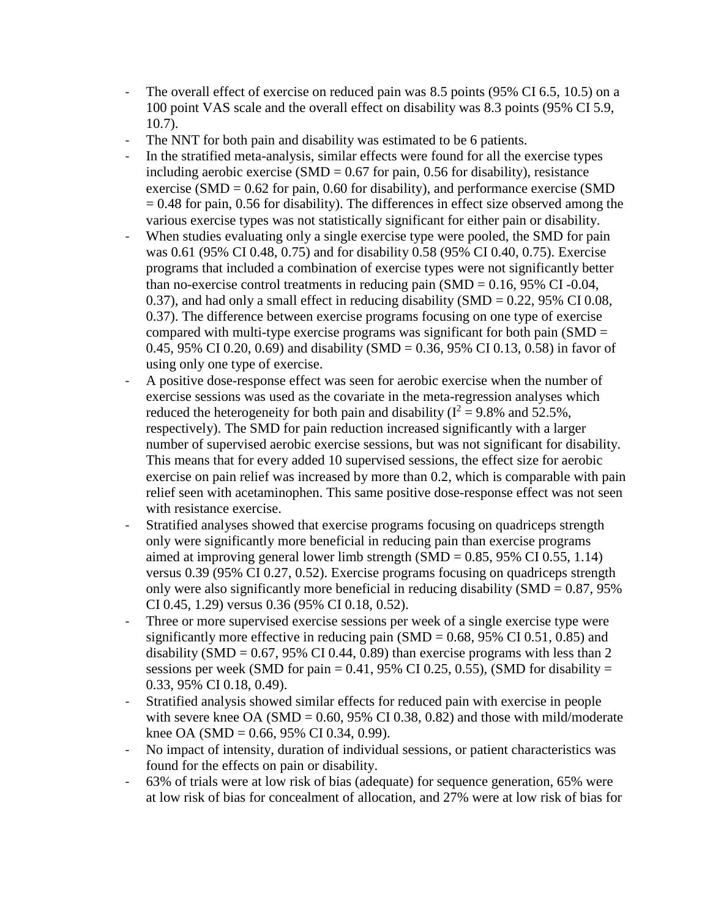- The overall effect of exercise on reduced pain was 8.5 points (95% CI 6.5, 10.5) on a 100 point VAS scale and the overall effect on disability was 8.3 points (95% CI 5.9, 10.7).
- The NNT for both pain and disability was estimated to be 6 patients.
- In the stratified meta-analysis, similar effects were found for all the exercise types including aerobic exercise (SMD =  $0.67$  for pain, 0.56 for disability), resistance exercise (SMD =  $0.62$  for pain, 0.60 for disability), and performance exercise (SMD  $= 0.48$  for pain, 0.56 for disability). The differences in effect size observed among the various exercise types was not statistically significant for either pain or disability.
- When studies evaluating only a single exercise type were pooled, the SMD for pain was 0.61 (95% CI 0.48, 0.75) and for disability 0.58 (95% CI 0.40, 0.75). Exercise programs that included a combination of exercise types were not significantly better than no-exercise control treatments in reducing pain  $(SMD = 0.16, 95\% \text{ CI} - 0.04,$ 0.37), and had only a small effect in reducing disability (SMD =  $0.22$ , 95% CI 0.08, 0.37). The difference between exercise programs focusing on one type of exercise compared with multi-type exercise programs was significant for both pain ( $SMD =$ 0.45, 95% CI 0.20, 0.69) and disability (SMD = 0.36, 95% CI 0.13, 0.58) in favor of using only one type of exercise.
- A positive dose-response effect was seen for aerobic exercise when the number of exercise sessions was used as the covariate in the meta-regression analyses which reduced the heterogeneity for both pain and disability ( $I^2 = 9.8\%$  and 52.5%, respectively). The SMD for pain reduction increased significantly with a larger number of supervised aerobic exercise sessions, but was not significant for disability. This means that for every added 10 supervised sessions, the effect size for aerobic exercise on pain relief was increased by more than 0.2, which is comparable with pain relief seen with acetaminophen. This same positive dose-response effect was not seen with resistance exercise.
- Stratified analyses showed that exercise programs focusing on quadriceps strength only were significantly more beneficial in reducing pain than exercise programs aimed at improving general lower limb strength  $(SMD = 0.85, 95\% \text{ CI } 0.55, 1.14)$ versus 0.39 (95% CI 0.27, 0.52). Exercise programs focusing on quadriceps strength only were also significantly more beneficial in reducing disability  $(SMD = 0.87, 95\%)$ CI 0.45, 1.29) versus 0.36 (95% CI 0.18, 0.52).
- Three or more supervised exercise sessions per week of a single exercise type were significantly more effective in reducing pain  $(SMD = 0.68, 95\% \text{ CI } 0.51, 0.85)$  and disability (SMD =  $0.67$ , 95% CI 0.44, 0.89) than exercise programs with less than 2 sessions per week (SMD for pain  $= 0.41$ , 95% CI 0.25, 0.55), (SMD for disability  $=$ 0.33, 95% CI 0.18, 0.49).
- Stratified analysis showed similar effects for reduced pain with exercise in people with severe knee OA (SMD =  $0.60$ , 95% CI 0.38, 0.82) and those with mild/moderate knee OA (SMD = 0.66, 95% CI 0.34, 0.99).
- No impact of intensity, duration of individual sessions, or patient characteristics was found for the effects on pain or disability.
- 63% of trials were at low risk of bias (adequate) for sequence generation, 65% were at low risk of bias for concealment of allocation, and 27% were at low risk of bias for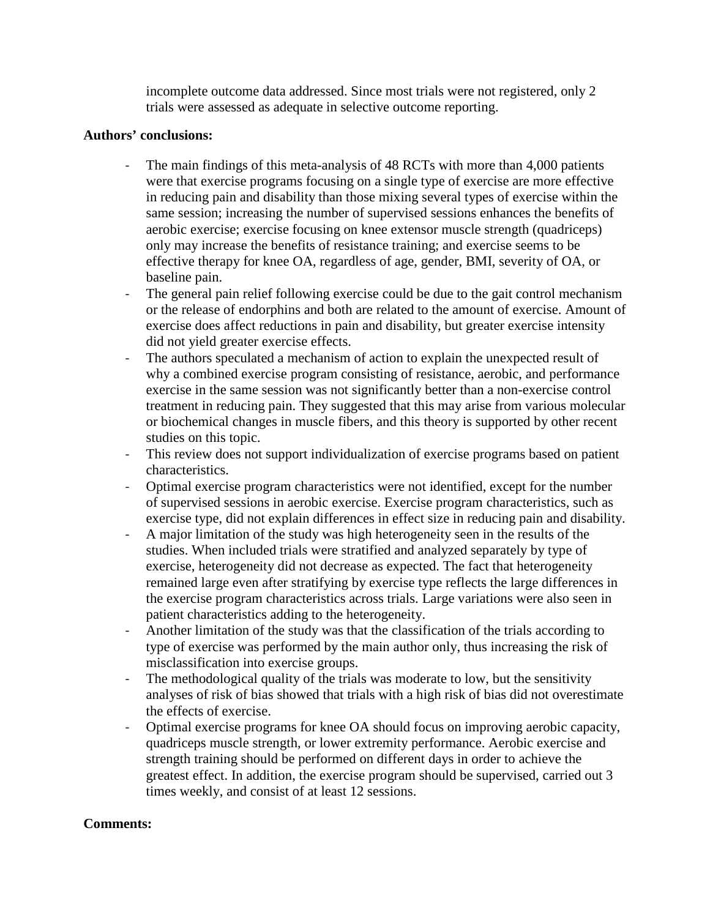incomplete outcome data addressed. Since most trials were not registered, only 2 trials were assessed as adequate in selective outcome reporting.

### **Authors' conclusions:**

- The main findings of this meta-analysis of 48 RCTs with more than 4,000 patients were that exercise programs focusing on a single type of exercise are more effective in reducing pain and disability than those mixing several types of exercise within the same session; increasing the number of supervised sessions enhances the benefits of aerobic exercise; exercise focusing on knee extensor muscle strength (quadriceps) only may increase the benefits of resistance training; and exercise seems to be effective therapy for knee OA, regardless of age, gender, BMI, severity of OA, or baseline pain.
- The general pain relief following exercise could be due to the gait control mechanism or the release of endorphins and both are related to the amount of exercise. Amount of exercise does affect reductions in pain and disability, but greater exercise intensity did not yield greater exercise effects.
- The authors speculated a mechanism of action to explain the unexpected result of why a combined exercise program consisting of resistance, aerobic, and performance exercise in the same session was not significantly better than a non-exercise control treatment in reducing pain. They suggested that this may arise from various molecular or biochemical changes in muscle fibers, and this theory is supported by other recent studies on this topic.
- This review does not support individualization of exercise programs based on patient characteristics.
- Optimal exercise program characteristics were not identified, except for the number of supervised sessions in aerobic exercise. Exercise program characteristics, such as exercise type, did not explain differences in effect size in reducing pain and disability.
- A major limitation of the study was high heterogeneity seen in the results of the studies. When included trials were stratified and analyzed separately by type of exercise, heterogeneity did not decrease as expected. The fact that heterogeneity remained large even after stratifying by exercise type reflects the large differences in the exercise program characteristics across trials. Large variations were also seen in patient characteristics adding to the heterogeneity.
- Another limitation of the study was that the classification of the trials according to type of exercise was performed by the main author only, thus increasing the risk of misclassification into exercise groups.
- The methodological quality of the trials was moderate to low, but the sensitivity analyses of risk of bias showed that trials with a high risk of bias did not overestimate the effects of exercise.
- Optimal exercise programs for knee OA should focus on improving aerobic capacity, quadriceps muscle strength, or lower extremity performance. Aerobic exercise and strength training should be performed on different days in order to achieve the greatest effect. In addition, the exercise program should be supervised, carried out 3 times weekly, and consist of at least 12 sessions.

### **Comments:**